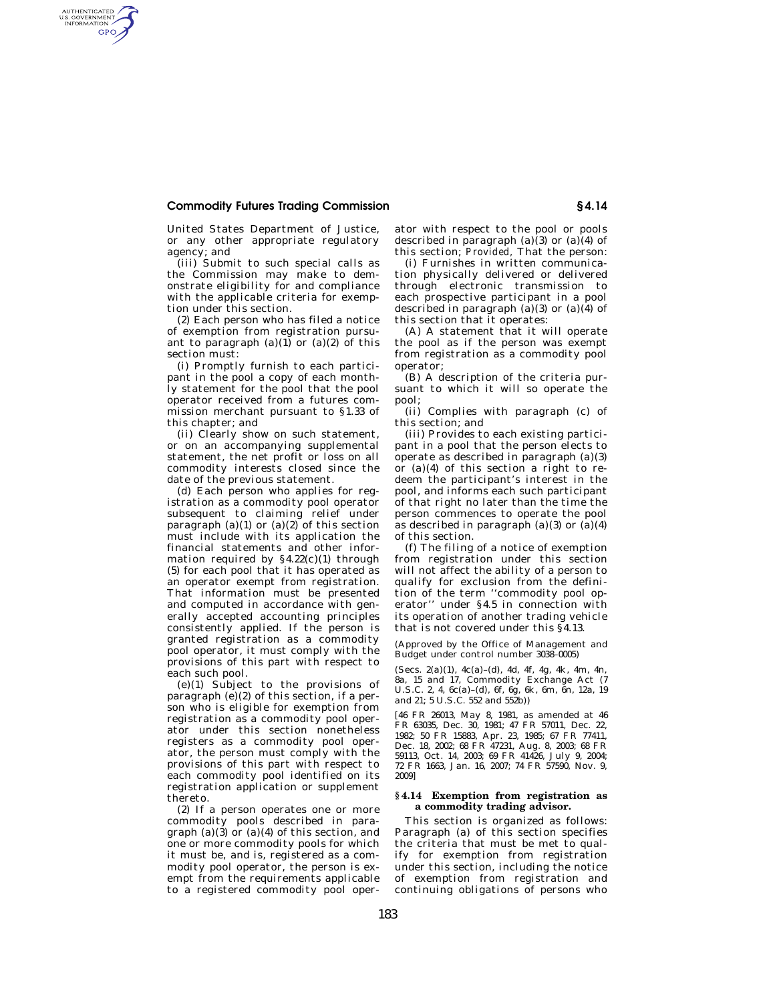## **Commodity Futures Trading Commission § 4.14**

AUTHENTICATED<br>U.S. GOVERNMENT<br>INFORMATION **GPO** 

> United States Department of Justice, or any other appropriate regulatory agency; and

> (iii) Submit to such special calls as the Commission may make to demonstrate eligibility for and compliance with the applicable criteria for exemption under this section.

> (2) Each person who has filed a notice of exemption from registration pursuant to paragraph  $(a)(1)$  or  $(a)(2)$  of this section must:

> (i) Promptly furnish to each participant in the pool a copy of each monthly statement for the pool that the pool operator received from a futures commission merchant pursuant to §1.33 of this chapter; and

> (ii) Clearly show on such statement, or on an accompanying supplemental statement, the net profit or loss on all commodity interests closed since the date of the previous statement.

> (d) Each person who applies for registration as a commodity pool operator subsequent to claiming relief under paragraph (a)(1) or (a)(2) of this section must include with its application the financial statements and other information required by  $§4.22(c)(1)$  through (5) for each pool that it has operated as an operator exempt from registration. That information must be presented and computed in accordance with generally accepted accounting principles consistently applied. If the person is granted registration as a commodity pool operator, it must comply with the provisions of this part with respect to each such pool.

> (e)(1) Subject to the provisions of paragraph (e)(2) of this section, if a person who is eligible for exemption from registration as a commodity pool operator under this section nonetheless registers as a commodity pool operator, the person must comply with the provisions of this part with respect to each commodity pool identified on its registration application or supplement thereto.

> (2) If a person operates one or more commodity pools described in paragraph (a)( $\hat{3}$ ) or (a)(4) of this section, and one or more commodity pools for which it must be, and is, registered as a commodity pool operator, the person is exempt from the requirements applicable to a registered commodity pool oper

ator with respect to the pool or pools described in paragraph (a)(3) or (a)(4) of this section; *Provided,* That the person:

(i) Furnishes in written communication physically delivered or delivered through electronic transmission to each prospective participant in a pool described in paragraph  $(a)(3)$  or  $(a)(4)$  of this section that it operates:

(A) A statement that it will operate the pool as if the person was exempt from registration as a commodity pool operator;

(B) A description of the criteria pursuant to which it will so operate the pool;

(ii) Complies with paragraph (c) of this section; and

(iii) Provides to each existing participant in a pool that the person elects to operate as described in paragraph  $(a)(3)$ or (a)(4) of this section a right to redeem the participant's interest in the pool, and informs each such participant of that right no later than the time the person commences to operate the pool as described in paragraph  $(a)(3)$  or  $(a)(4)$ of this section.

(f) The filing of a notice of exemption from registration under this section will not affect the ability of a person to qualify for exclusion from the definition of the term ''commodity pool operator'' under §4.5 in connection with its operation of another trading vehicle that is not covered under this §4.13.

(Approved by the Office of Management and Budget under control number 3038–0005)

(Secs. 2(a)(1), 4c(a)–(d), 4d, 4f, 4g, 4k, 4m, 4n, 8a, 15 and 17, Commodity Exchange Act (7 U.S.C. 2, 4, 6c(a)–(d), 6f, 6g, 6k, 6m, 6n, 12a, 19 and 21; 5 U.S.C. 552 and 552b))

[46 FR 26013, May 8, 1981, as amended at 46 FR 63035, Dec. 30, 1981; 47 FR 57011, Dec. 22, 1982; 50 FR 15883, Apr. 23, 1985; 67 FR 77411, Dec. 18, 2002; 68 FR 47231, Aug. 8, 2003; 68 FR 59113, Oct. 14, 2003; 69 FR 41426, July 9, 2004; 72 FR 1663, Jan. 16, 2007; 74 FR 57590, Nov. 9, 2009]

#### **§ 4.14 Exemption from registration as a commodity trading advisor.**

This section is organized as follows: Paragraph (a) of this section specifies the criteria that must be met to qualify for exemption from registration under this section, including the notice of exemption from registration and continuing obligations of persons who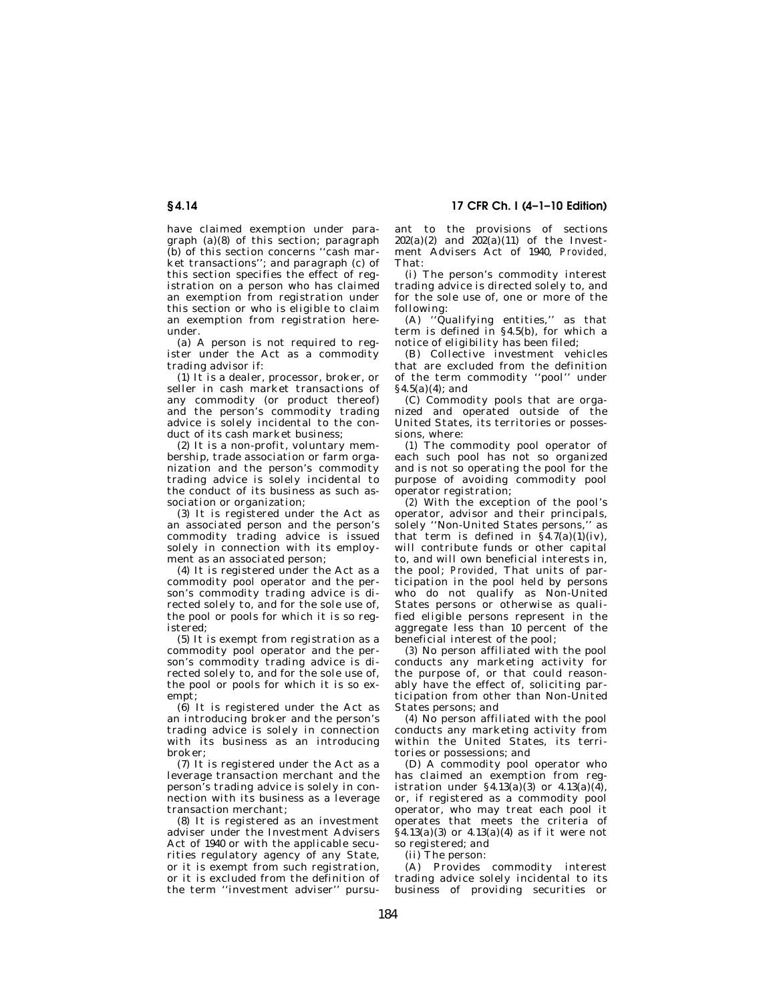# **§ 4.14 17 CFR Ch. I (4–1–10 Edition)**

have claimed exemption under paragraph (a)(8) of this section; paragraph (b) of this section concerns ''cash market transactions''; and paragraph (c) of this section specifies the effect of registration on a person who has claimed an exemption from registration under this section or who is eligible to claim an exemption from registration hereunder.

(a) A person is not required to register under the Act as a commodity trading advisor if:

(1) It is a dealer, processor, broker, or seller in cash market transactions of any commodity (or product thereof) and the person's commodity trading advice is solely incidental to the conduct of its cash market business;

(2) It is a non-profit, voluntary membership, trade association or farm organization and the person's commodity trading advice is solely incidental to the conduct of its business as such association or organization;

(3) It is registered under the Act as an associated person and the person's commodity trading advice is issued solely in connection with its employment as an associated person;

(4) It is registered under the Act as a commodity pool operator and the person's commodity trading advice is directed solely to, and for the sole use of, the pool or pools for which it is so registered;

(5) It is exempt from registration as a commodity pool operator and the person's commodity trading advice is directed solely to, and for the sole use of, the pool or pools for which it is so exempt;

 $(6)$  It is registered under the Act as an introducing broker and the person's trading advice is solely in connection with its business as an introducing broker;

(7) It is registered under the Act as a leverage transaction merchant and the person's trading advice is solely in connection with its business as a leverage transaction merchant;

(8) It is registered as an investment adviser under the Investment Advisers Act of 1940 or with the applicable securities regulatory agency of any State, or it is exempt from such registration, or it is excluded from the definition of the term ''investment adviser'' pursuant to the provisions of sections  $202(a)(2)$  and  $202(a)(11)$  of the Investment Advisers Act of 1940, *Provided,*  That:

(i) The person's commodity interest trading advice is directed solely to, and for the sole use of, one or more of the following:

(A) ''Qualifying entities,'' as that term is defined in §4.5(b), for which a notice of eligibility has been filed;

(B) Collective investment vehicles that are excluded from the definition of the term commodity ''pool'' under  $§4.5(a)(4);$  and

(C) Commodity pools that are organized and operated outside of the United States, its territories or possessions, where:

(*1*) The commodity pool operator of each such pool has not so organized and is not so operating the pool for the purpose of avoiding commodity pool operator registration;

(*2*) With the exception of the pool's operator, advisor and their principals, solely ''Non-United States persons,'' as that term is defined in  $\S 4.7(a)(1)(iv)$ , will contribute funds or other capital to, and will own beneficial interests in, the pool; *Provided,* That units of participation in the pool held by persons who do not qualify as Non-United States persons or otherwise as qualified eligible persons represent in the aggregate less than 10 percent of the beneficial interest of the pool;

(*3*) No person affiliated with the pool conducts any marketing activity for the purpose of, or that could reasonably have the effect of, soliciting participation from other than Non-United States persons; and

(*4*) No person affiliated with the pool conducts any marketing activity from within the United States, its territories or possessions; and

(D) A commodity pool operator who has claimed an exemption from registration under  $\S 4.13(a)(3)$  or  $4.13(a)(4)$ , or, if registered as a commodity pool operator, who may treat each pool it operates that meets the criteria of  $\hat{A}$ .13(a)(3) or 4.13(a)(4) as if it were not so registered; and

(ii) The person:

(A) Provides commodity interest trading advice solely incidental to its business of providing securities or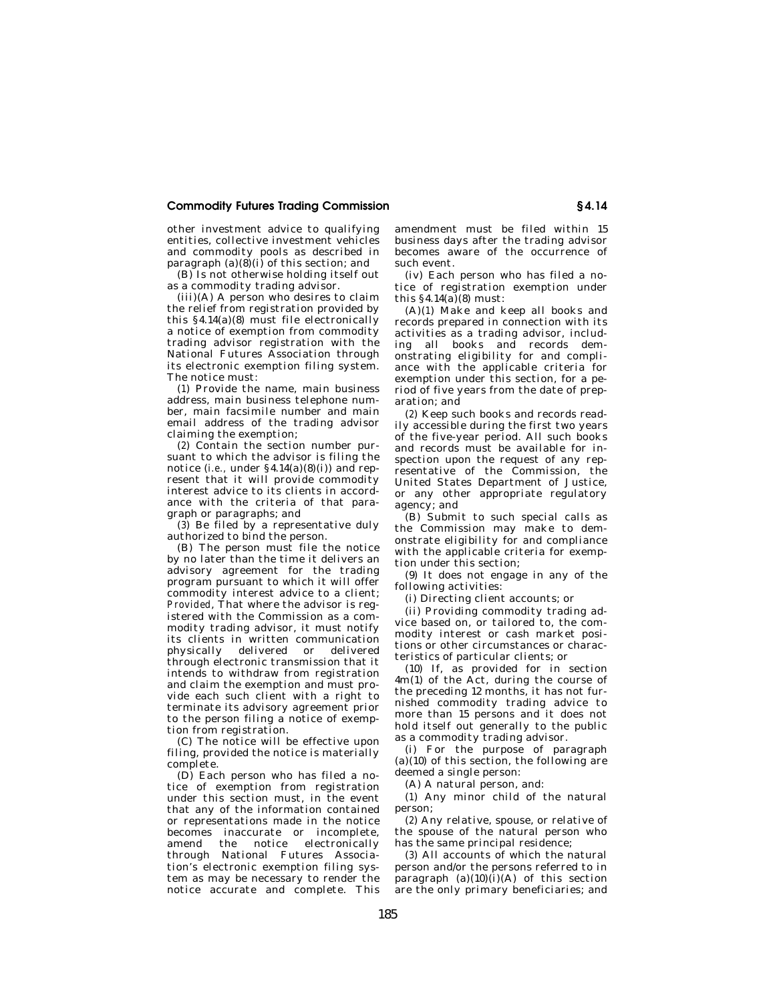## **Commodity Futures Trading Commission § 4.14**

other investment advice to qualifying entities, collective investment vehicles and commodity pools as described in paragraph  $(a)(8)(i)$  of this section; and

(B) Is not otherwise holding itself out as a commodity trading advisor.

 $(iii)(A)$  A person who desires to claim the relief from registration provided by this  $§4.14(a)(8)$  must file electronically a notice of exemption from commodity trading advisor registration with the National Futures Association through its electronic exemption filing system. The notice must:

(*1*) Provide the name, main business address, main business telephone number, main facsimile number and main email address of the trading advisor claiming the exemption;

(*2*) Contain the section number pursuant to which the advisor is filing the notice (*i.e.,* under §4.14(a)(8)(i)) and represent that it will provide commodity interest advice to its clients in accordance with the criteria of that paragraph or paragraphs; and

 $(\hat{3})$  Be filed by a representative duly authorized to bind the person.

(B) The person must file the notice by no later than the time it delivers an advisory agreement for the trading program pursuant to which it will offer commodity interest advice to a client; *Provided*, That where the advisor is registered with the Commission as a commodity trading advisor, it must notify its clients in written communication physically delivered or delivered through electronic transmission that it intends to withdraw from registration and claim the exemption and must provide each such client with a right to terminate its advisory agreement prior to the person filing a notice of exemption from registration.

(C) The notice will be effective upon filing, provided the notice is materially complete.

(D) Each person who has filed a notice of exemption from registration under this section must, in the event that any of the information contained or representations made in the notice becomes inaccurate or incomplete, amend the notice electronically through National Futures Association's electronic exemption filing system as may be necessary to render the notice accurate and complete. This amendment must be filed within 15 business days after the trading advisor becomes aware of the occurrence of such event.

(iv) Each person who has filed a notice of registration exemption under this  $§4.14(a)(8)$  must:

(A)(*1*) Make and keep all books and records prepared in connection with its activities as a trading advisor, including all books and records demonstrating eligibility for and compliance with the applicable criteria for exemption under this section, for a period of five years from the date of preparation; and

(*2*) Keep such books and records readily accessible during the first two years of the five-year period. All such books and records must be available for inspection upon the request of any representative of the Commission, the United States Department of Justice, or any other appropriate regulatory agency; and

(B) Submit to such special calls as the Commission may make to demonstrate eligibility for and compliance with the applicable criteria for exemption under this section;

(9) It does not engage in any of the following activities:

(i) Directing client accounts; or

(ii) Providing commodity trading advice based on, or tailored to, the commodity interest or cash market positions or other circumstances or characteristics of particular clients; or

(10) If, as provided for in section 4m(1) of the Act, during the course of the preceding 12 months, it has not furnished commodity trading advice to more than 15 persons and it does not hold itself out generally to the public as a commodity trading advisor.

(i) For the purpose of paragraph  $(a)(10)$  of this section, the following are deemed a single person:

(A) A natural person, and:

(*1*) Any minor child of the natural person;

(*2*) Any relative, spouse, or relative of the spouse of the natural person who has the same principal residence;

(*3*) All accounts of which the natural person and/or the persons referred to in paragraph  $(a)(10)(i)(A)$  of this section are the only primary beneficiaries; and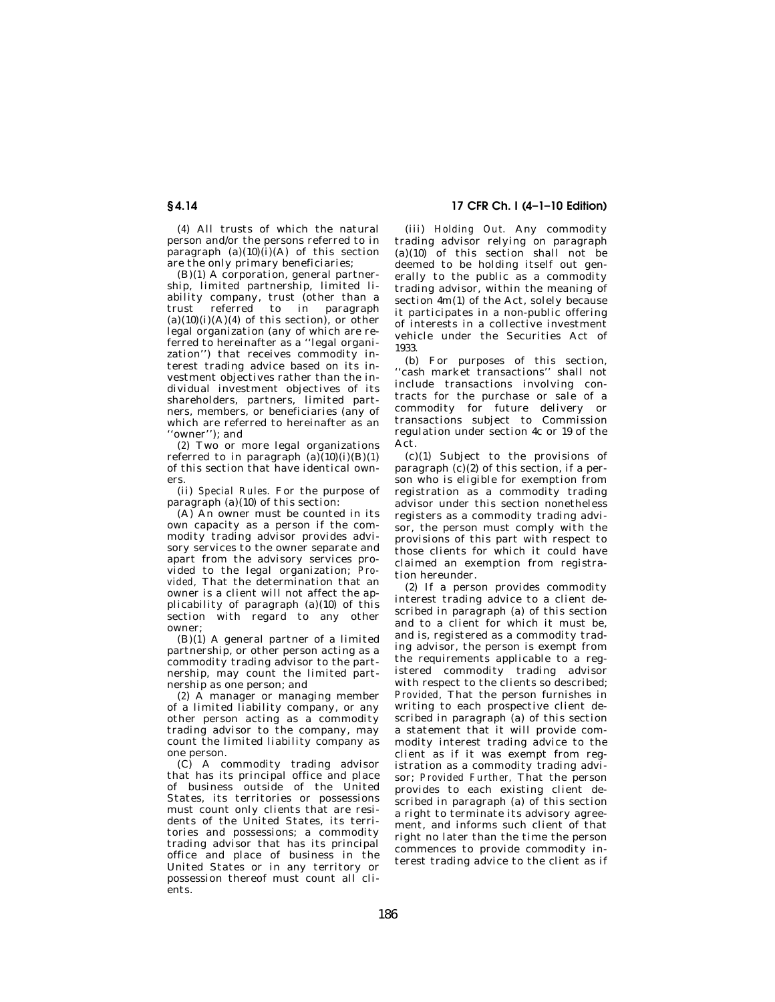(*4*) All trusts of which the natural person and/or the persons referred to in paragraph  $(a)(10)(i)(A)$  of this section are the only primary beneficiaries;

(B)(*1*) A corporation, general partnership, limited partnership, limited liability company, trust (other than a trust referred to in paragraph  $(a)(10)(i)(A)(4)$  of this section), or other legal organization (any of which are referred to hereinafter as a ''legal organization'') that receives commodity interest trading advice based on its investment objectives rather than the individual investment objectives of its shareholders, partners, limited partners, members, or beneficiaries (any of which are referred to hereinafter as an ''owner''); and

(*2*) Two or more legal organizations referred to in paragraph  $(a)(10)(i)(B)(1)$ of this section that have identical owners.

(ii) *Special Rules.* For the purpose of paragraph (a)(10) of this section:

(A) An owner must be counted in its own capacity as a person if the commodity trading advisor provides advisory services to the owner separate and apart from the advisory services provided to the legal organization; *Provided,* That the determination that an owner is a client will not affect the applicability of paragraph (a)(10) of this section with regard to any other owner;

 $(B)(1)$  A general partner of a limited partnership, or other person acting as a commodity trading advisor to the partnership, may count the limited partnership as one person; and

(*2*) A manager or managing member of a limited liability company, or any other person acting as a commodity trading advisor to the company, may count the limited liability company as one person.

(C) A commodity trading advisor that has its principal office and place of business outside of the United States, its territories or possessions must count only clients that are residents of the United States, its territories and possessions; a commodity trading advisor that has its principal office and place of business in the United States or in any territory or possession thereof must count all clients.

**§ 4.14 17 CFR Ch. I (4–1–10 Edition)** 

(iii) *Holding Out.* Any commodity trading advisor relying on paragraph (a)(10) of this section shall not be deemed to be holding itself out generally to the public as a commodity trading advisor, within the meaning of section 4m(1) of the Act, solely because it participates in a non-public offering of interests in a collective investment vehicle under the Securities Act of 1933.

(b) For purposes of this section, 'cash market transactions'' shall not include transactions involving contracts for the purchase or sale of a commodity for future delivery or transactions subject to Commission regulation under section 4c or 19 of the Act.

(c)(1) Subject to the provisions of paragraph  $(c)(2)$  of this section, if a person who is eligible for exemption from registration as a commodity trading advisor under this section nonetheless registers as a commodity trading advisor, the person must comply with the provisions of this part with respect to those clients for which it could have claimed an exemption from registration hereunder.

(2) If a person provides commodity interest trading advice to a client described in paragraph (a) of this section and to a client for which it must be, and is, registered as a commodity trading advisor, the person is exempt from the requirements applicable to a registered commodity trading advisor with respect to the clients so described; *Provided,* That the person furnishes in writing to each prospective client described in paragraph (a) of this section a statement that it will provide commodity interest trading advice to the client as if it was exempt from registration as a commodity trading advisor; *Provided Further,* That the person provides to each existing client described in paragraph (a) of this section a right to terminate its advisory agreement, and informs such client of that right no later than the time the person commences to provide commodity interest trading advice to the client as if